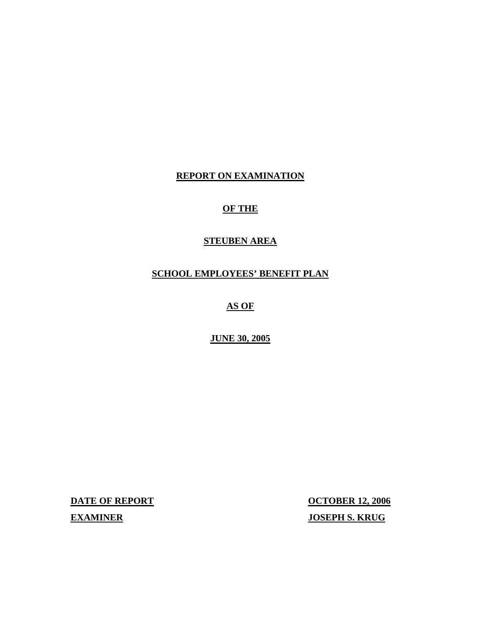# **REPORT ON EXAMINATION**

# **OF THE**

#### **STEUBEN AREA**

# **SCHOOL EMPLOYEES' BENEFIT PLAN**

# **AS OF**

# **JUNE 30, 2005**

**DATE OF REPORT OCTOBER 12, 2006** 

**EXAMINER** JOSEPH S. KRUG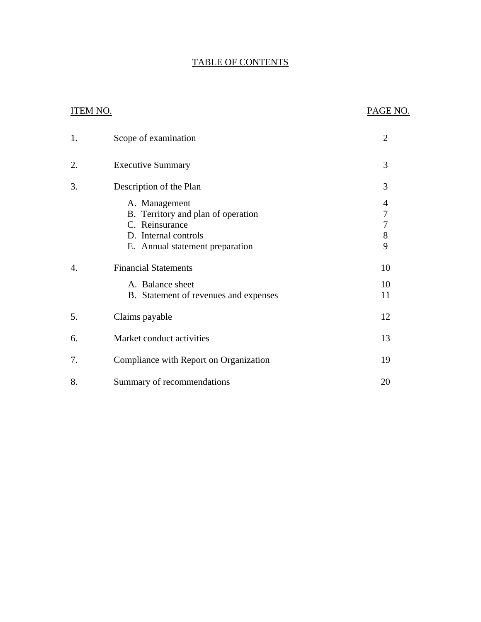# TABLE OF CONTENTS

# **ITEM NO.**

## PAGE NO.

| 1. | Scope of examination                                                                                                             | $\overline{2}$                                    |
|----|----------------------------------------------------------------------------------------------------------------------------------|---------------------------------------------------|
| 2. | <b>Executive Summary</b>                                                                                                         | 3                                                 |
| 3. | Description of the Plan                                                                                                          | 3                                                 |
|    | A. Management<br>B. Territory and plan of operation<br>C. Reinsurance<br>D. Internal controls<br>E. Annual statement preparation | 4<br>$\sqrt{ }$<br>$\boldsymbol{7}$<br>$8\,$<br>9 |
| 4. | <b>Financial Statements</b><br>A. Balance sheet<br>B. Statement of revenues and expenses                                         | 10<br>10<br>11                                    |
| 5. | Claims payable                                                                                                                   | 12                                                |
| 6. | Market conduct activities                                                                                                        | 13                                                |
| 7. | Compliance with Report on Organization                                                                                           | 19                                                |
| 8. | Summary of recommendations                                                                                                       | 20                                                |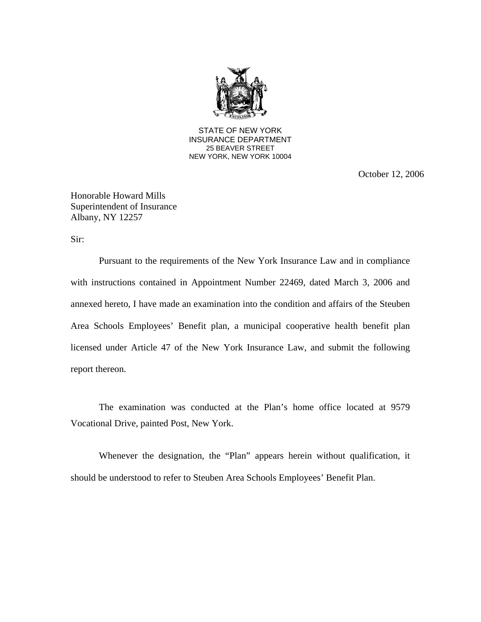

**25 BEAVER STREET** STATE OF NEW YORK INSURANCE DEPARTMENT NEW YORK, NEW YORK 10004

October 12, 2006

Honorable Howard Mills Superintendent of Insurance Albany, NY 12257

Sir:

Pursuant to the requirements of the New York Insurance Law and in compliance with instructions contained in Appointment Number 22469, dated March 3, 2006 and annexed hereto, I have made an examination into the condition and affairs of the Steuben Area Schools Employees' Benefit plan, a municipal cooperative health benefit plan licensed under Article 47 of the New York Insurance Law, and submit the following report thereon.

The examination was conducted at the Plan's home office located at 9579 Vocational Drive, painted Post, New York.

Whenever the designation, the "Plan" appears herein without qualification, it should be understood to refer to Steuben Area Schools Employees' Benefit Plan.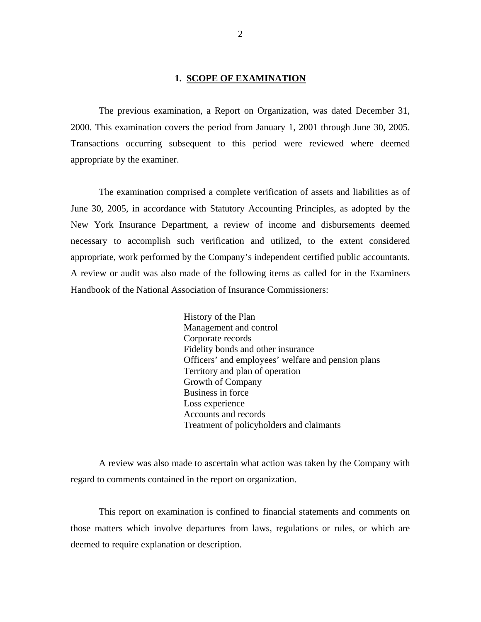#### **1. SCOPE OF EXAMINATION**

The previous examination, a Report on Organization, was dated December 31, 2000. This examination covers the period from January 1, 2001 through June 30, 2005. Transactions occurring subsequent to this period were reviewed where deemed appropriate by the examiner.

The examination comprised a complete verification of assets and liabilities as of June 30, 2005, in accordance with Statutory Accounting Principles, as adopted by the New York Insurance Department, a review of income and disbursements deemed necessary to accomplish such verification and utilized, to the extent considered appropriate, work performed by the Company's independent certified public accountants. A review or audit was also made of the following items as called for in the Examiners Handbook of the National Association of Insurance Commissioners:

 Loss experience History of the Plan Management and control Corporate records Fidelity bonds and other insurance Officers' and employees' welfare and pension plans Territory and plan of operation Growth of Company Business in force Accounts and records Treatment of policyholders and claimants

A review was also made to ascertain what action was taken by the Company with regard to comments contained in the report on organization.

This report on examination is confined to financial statements and comments on those matters which involve departures from laws, regulations or rules, or which are deemed to require explanation or description.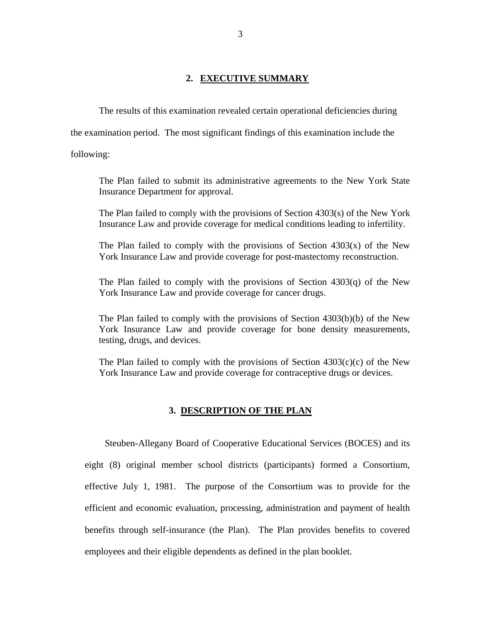#### **2. EXECUTIVE SUMMARY**

<span id="page-4-0"></span>The results of this examination revealed certain operational deficiencies during

the examination period. The most significant findings of this examination include the

following:

The Plan failed to submit its administrative agreements to the New York State Insurance Department for approval.

The Plan failed to comply with the provisions of Section 4303(s) of the New York Insurance Law and provide coverage for medical conditions leading to infertility.

The Plan failed to comply with the provisions of Section  $4303(x)$  of the New York Insurance Law and provide coverage for post-mastectomy reconstruction.

The Plan failed to comply with the provisions of Section 4303(q) of the New York Insurance Law and provide coverage for cancer drugs.

The Plan failed to comply with the provisions of Section 4303(b)(b) of the New York Insurance Law and provide coverage for bone density measurements, testing, drugs, and devices.

The Plan failed to comply with the provisions of Section  $4303(c)(c)$  of the New York Insurance Law and provide coverage for contraceptive drugs or devices.

#### **3. DESCRIPTION OF THE PLAN**

Steuben-Allegany Board of Cooperative Educational Services (BOCES) and its eight (8) original member school districts (participants) formed a Consortium, effective July 1, 1981. The purpose of the Consortium was to provide for the efficient and economic evaluation, processing, administration and payment of health benefits through self-insurance (the Plan). The Plan provides benefits to covered employees and their eligible dependents as defined in the plan booklet.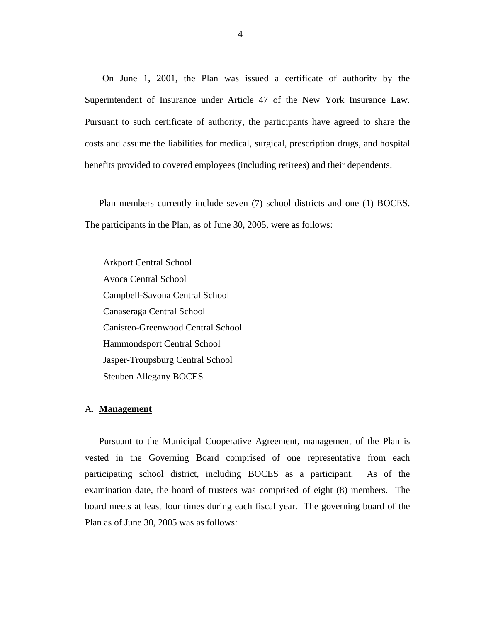<span id="page-5-0"></span> Superintendent of Insurance under Article 47 of the New York Insurance Law. Pursuant to such certificate of authority, the participants have agreed to share the On June 1, 2001, the Plan was issued a certificate of authority by the costs and assume the liabilities for medical, surgical, prescription drugs, and hospital benefits provided to covered employees (including retirees) and their dependents.

Plan members currently include seven (7) school districts and one (1) BOCES. The participants in the Plan, as of June 30, 2005, were as follows:

Arkport Central School Avoca Central School Campbell-Savona Central School Canaseraga Central School Canisteo-Greenwood Central School Hammondsport Central School Jasper-Troupsburg Central School Steuben Allegany BOCES

#### A. **Management**

Pursuant to the Municipal Cooperative Agreement, management of the Plan is vested in the Governing Board comprised of one representative from each participating school district, including BOCES as a participant. As of the examination date, the board of trustees was comprised of eight (8) members. The board meets at least four times during each fiscal year. The governing board of the Plan as of June 30, 2005 was as follows: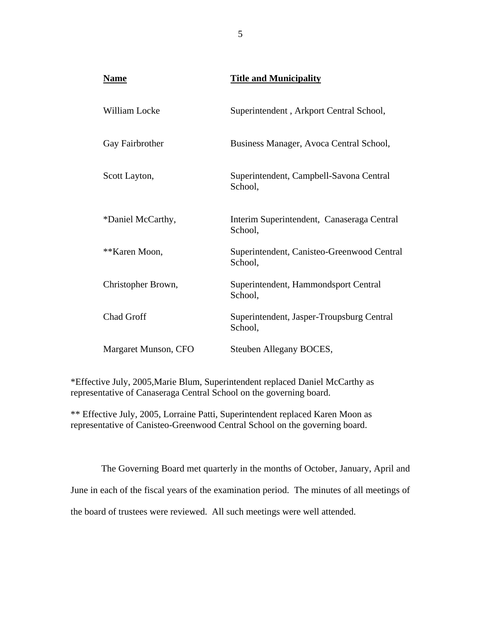| <b>Name</b>          | <b>Title and Municipality</b>                         |
|----------------------|-------------------------------------------------------|
| <b>William Locke</b> | Superintendent, Arkport Central School,               |
| Gay Fairbrother      | Business Manager, Avoca Central School,               |
| Scott Layton,        | Superintendent, Campbell-Savona Central<br>School,    |
| *Daniel McCarthy,    | Interim Superintendent, Canaseraga Central<br>School, |
| **Karen Moon,        | Superintendent, Canisteo-Greenwood Central<br>School, |
| Christopher Brown,   | Superintendent, Hammondsport Central<br>School,       |
| <b>Chad Groff</b>    | Superintendent, Jasper-Troupsburg Central<br>School,  |
| Margaret Munson, CFO | Steuben Allegany BOCES,                               |

\*Effective July, 2005,Marie Blum, Superintendent replaced Daniel McCarthy as representative of Canaseraga Central School on the governing board.

\*\* Effective July, 2005, Lorraine Patti, Superintendent replaced Karen Moon as representative of Canisteo-Greenwood Central School on the governing board.

The Governing Board met quarterly in the months of October, January, April and June in each of the fiscal years of the examination period. The minutes of all meetings of the board of trustees were reviewed. All such meetings were well attended.

 $\overline{5}$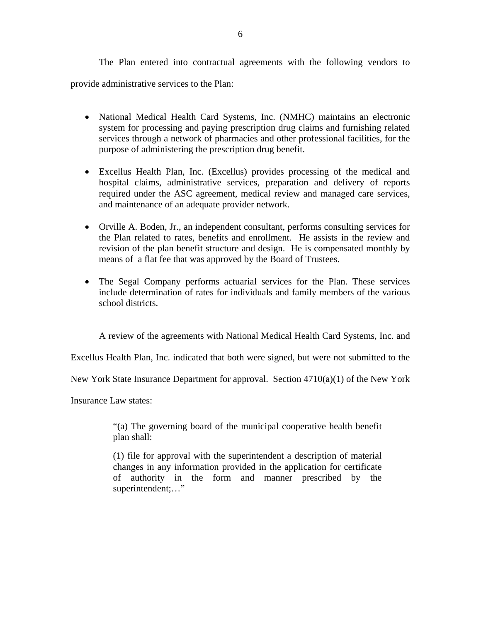The Plan entered into contractual agreements with the following vendors to provide administrative services to the Plan:

- National Medical Health Card Systems, Inc. (NMHC) maintains an electronic system for processing and paying prescription drug claims and furnishing related services through a network of pharmacies and other professional facilities, for the purpose of administering the prescription drug benefit.
- Excellus Health Plan, Inc. (Excellus) provides processing of the medical and hospital claims, administrative services, preparation and delivery of reports required under the ASC agreement, medical review and managed care services, and maintenance of an adequate provider network.
- Orville A. Boden, Jr., an independent consultant, performs consulting services for the Plan related to rates, benefits and enrollment. He assists in the review and revision of the plan benefit structure and design. He is compensated monthly by means of a flat fee that was approved by the Board of Trustees.
- The Segal Company performs actuarial services for the Plan. These services include determination of rates for individuals and family members of the various school districts.

A review of the agreements with National Medical Health Card Systems, Inc. and

Excellus Health Plan, Inc. indicated that both were signed, but were not submitted to the

New York State Insurance Department for approval. Section  $4710(a)(1)$  of the New York

Insurance Law states:

"(a) The governing board of the municipal cooperative health benefit plan shall:

(1) file for approval with the superintendent a description of material changes in any information provided in the application for certificate of authority in the form and manner prescribed by the superintendent;…"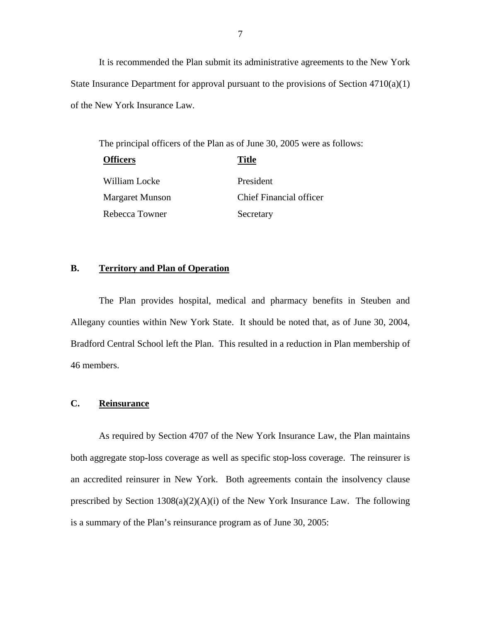It is recommended the Plan submit its administrative agreements to the New York State Insurance Department for approval pursuant to the provisions of Section 4710(a)(1) of the New York Insurance Law.

The principal officers of the Plan as of June 30, 2005 were as follows:

| <b>Officers</b>        | <b>Title</b>            |
|------------------------|-------------------------|
| William Locke          | President               |
| <b>Margaret Munson</b> | Chief Financial officer |
| Rebecca Towner         | Secretary               |

### **B. Territory and Plan of Operation**

The Plan provides hospital, medical and pharmacy benefits in Steuben and Allegany counties within New York State. It should be noted that, as of June 30, 2004, Bradford Central School left the Plan. This resulted in a reduction in Plan membership of 46 members.

#### **C. Reinsurance**

As required by Section 4707 of the New York Insurance Law, the Plan maintains both aggregate stop-loss coverage as well as specific stop-loss coverage. The reinsurer is an accredited reinsurer in New York. Both agreements contain the insolvency clause prescribed by Section 1308(a)(2)(A)(i) of the New York Insurance Law. The following is a summary of the Plan's reinsurance program as of June 30, 2005: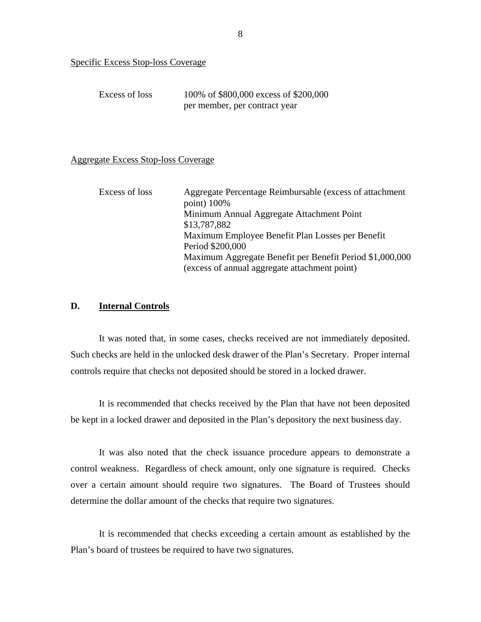<span id="page-9-0"></span>

| Specific Excess Stop-loss Coverage |                                       |
|------------------------------------|---------------------------------------|
|                                    |                                       |
| Excess of loss                     | 100% of \$800,000 excess of \$200,000 |
|                                    | per member, per contract year         |

#### **Aggregate Excess Stop-loss Coverage**

| Aggregate Excess Stop-loss Coverage |                                                                                                                                                                                   |
|-------------------------------------|-----------------------------------------------------------------------------------------------------------------------------------------------------------------------------------|
| Excess of loss                      | Aggregate Percentage Reimbursable (excess of attachment<br>point) 100%<br>Minimum Annual Aggregate Attachment Point<br>\$13,787,882                                               |
|                                     | Maximum Employee Benefit Plan Losses per Benefit<br>Period \$200,000<br>Maximum Aggregate Benefit per Benefit Period \$1,000,000<br>(excess of annual aggregate attachment point) |

#### **D. Internal Controls**

It was noted that, in some cases, checks received are not immediately deposited. Such checks are held in the unlocked desk drawer of the Plan's Secretary. Proper internal controls require that checks not deposited should be stored in a locked drawer.

It is recommended that checks received by the Plan that have not been deposited be kept in a locked drawer and deposited in the Plan's depository the next business day.

It was also noted that the check issuance procedure appears to demonstrate a control weakness. Regardless of check amount, only one signature is required. Checks over a certain amount should require two signatures. The Board of Trustees should determine the dollar amount of the checks that require two signatures.

It is recommended that checks exceeding a certain amount as established by the Plan's board of trustees be required to have two signatures.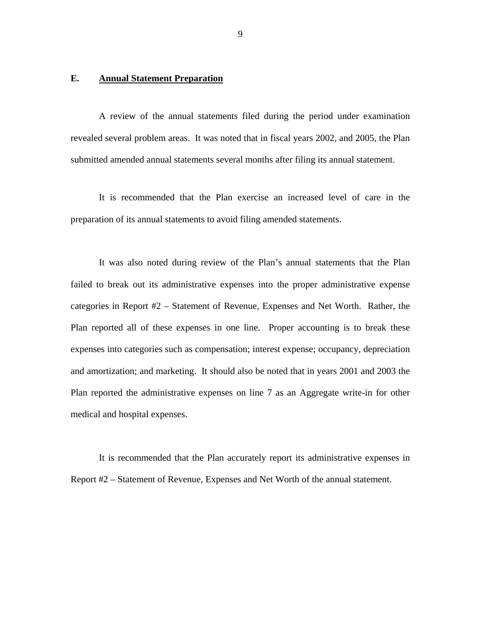#### <span id="page-10-0"></span>**E. Annual Statement Preparation**

A review of the annual statements filed during the period under examination revealed several problem areas. It was noted that in fiscal years 2002, and 2005, the Plan submitted amended annual statements several months after filing its annual statement.

It is recommended that the Plan exercise an increased level of care in the preparation of its annual statements to avoid filing amended statements.

It was also noted during review of the Plan's annual statements that the Plan failed to break out its administrative expenses into the proper administrative expense categories in Report #2 – Statement of Revenue, Expenses and Net Worth. Rather, the Plan reported all of these expenses in one line. Proper accounting is to break these expenses into categories such as compensation; interest expense; occupancy, depreciation and amortization; and marketing. It should also be noted that in years 2001 and 2003 the Plan reported the administrative expenses on line 7 as an Aggregate write-in for other medical and hospital expenses.

It is recommended that the Plan accurately report its administrative expenses in Report #2 – Statement of Revenue, Expenses and Net Worth of the annual statement.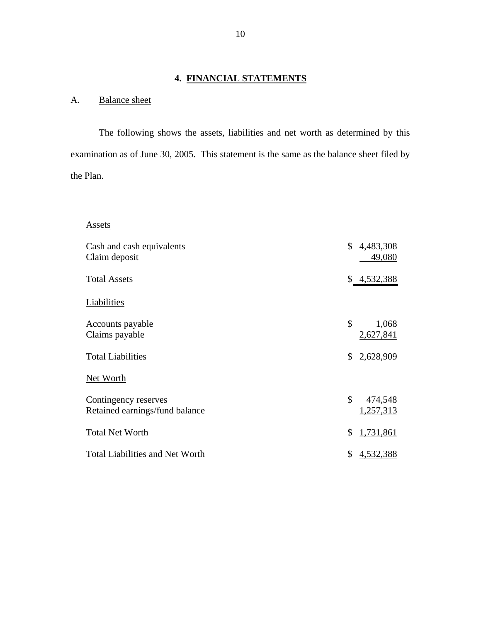# **4. FINANCIAL STATEMENTS**

# A. Balance sheet

The following shows the assets, liabilities and net worth as determined by this examination as of June 30, 2005. This statement is the same as the balance sheet filed by the Plan.

# Assets

| Assets                                                 |                            |
|--------------------------------------------------------|----------------------------|
| Cash and cash equivalents<br>Claim deposit             | \$<br>4,483,308<br>49,080  |
| <b>Total Assets</b>                                    | \$4,532,388                |
| Liabilities                                            |                            |
| Accounts payable<br>Claims payable                     | \$<br>1,068<br>2,627,841   |
| <b>Total Liabilities</b>                               | \$<br>2,628,909            |
| Net Worth                                              |                            |
| Contingency reserves<br>Retained earnings/fund balance | \$<br>474,548<br>1,257,313 |
| <b>Total Net Worth</b>                                 | \$<br>1,731,861            |
| <b>Total Liabilities and Net Worth</b>                 | \$<br>4,532,388            |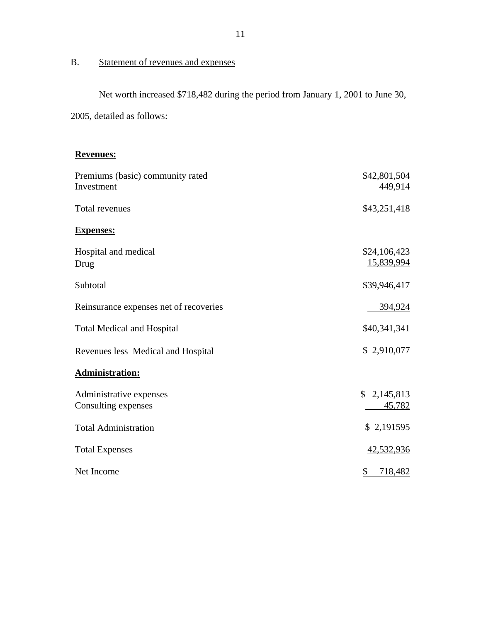# <span id="page-12-0"></span>B. Statement of revenues and expenses

Net worth increased \$718,482 during the period from January 1, 2001 to June 30,

2005, detailed as follows:

#### **Revenues:**

| Premiums (basic) community rated<br>Investment | \$42,801,504<br>449,914    |
|------------------------------------------------|----------------------------|
| Total revenues                                 | \$43,251,418               |
| <b>Expenses:</b>                               |                            |
| Hospital and medical<br>Drug                   | \$24,106,423<br>15,839,994 |
| Subtotal                                       | \$39,946,417               |
| Reinsurance expenses net of recoveries         | 394,924                    |
| <b>Total Medical and Hospital</b>              | \$40,341,341               |
| Revenues less Medical and Hospital             | \$2,910,077                |
| <b>Administration:</b>                         |                            |
| Administrative expenses<br>Consulting expenses | \$2,145,813<br>45,782      |
| <b>Total Administration</b>                    | \$2,191595                 |
| <b>Total Expenses</b>                          | 42,532,936                 |
| Net Income                                     | $\frac{1}{2}$<br>718,482   |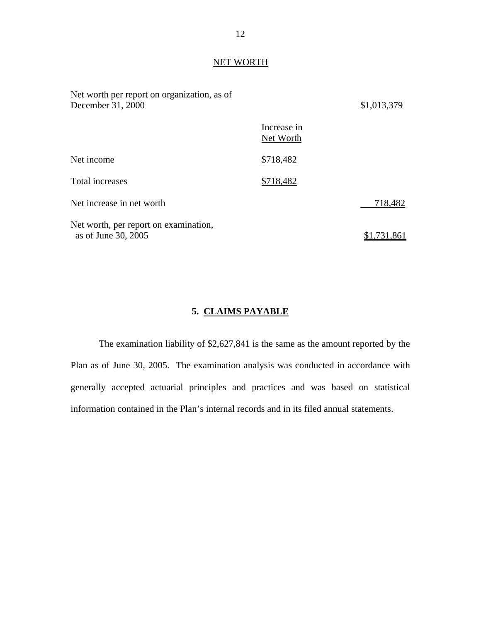# NET WORTH

| Net worth per report on organization, as of<br>December 31, 2000 |                          | \$1,013,379 |
|------------------------------------------------------------------|--------------------------|-------------|
|                                                                  | Increase in<br>Net Worth |             |
| Net income                                                       | \$718,482                |             |
| Total increases                                                  | \$718,482                |             |
| Net increase in net worth                                        |                          | 718,482     |
| Net worth, per report on examination,<br>as of June 30, 2005     |                          | \$1,731,861 |

### **5. CLAIMS PAYABLE**

The examination liability of \$2,627,841 is the same as the amount reported by the Plan as of June 30, 2005. The examination analysis was conducted in accordance with generally accepted actuarial principles and practices and was based on statistical information contained in the Plan's internal records and in its filed annual statements.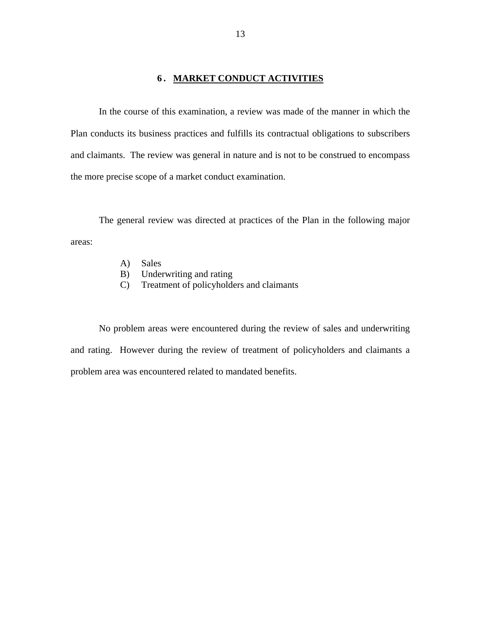### **6. MARKET CONDUCT ACTIVITIES**

<span id="page-14-0"></span>In the course of this examination, a review was made of the manner in which the Plan conducts its business practices and fulfills its contractual obligations to subscribers and claimants. The review was general in nature and is not to be construed to encompass the more precise scope of a market conduct examination.

The general review was directed at practices of the Plan in the following major areas:

- A) Sales
- B) Underwriting and rating
- C) Treatment of policyholders and claimants

No problem areas were encountered during the review of sales and underwriting and rating. However during the review of treatment of policyholders and claimants a problem area was encountered related to mandated benefits.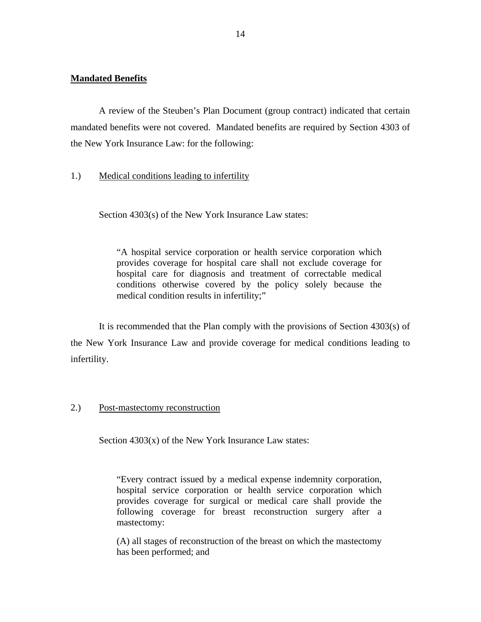#### **Mandated Benefits**

A review of the Steuben's Plan Document (group contract) indicated that certain mandated benefits were not covered. Mandated benefits are required by Section 4303 of the New York Insurance Law: for the following:

#### 1.) Medical conditions leading to infertility

Section 4303(s) of the New York Insurance Law states:

"A hospital service corporation or health service corporation which provides coverage for hospital care shall not exclude coverage for hospital care for diagnosis and treatment of correctable medical conditions otherwise covered by the policy solely because the medical condition results in infertility;"

It is recommended that the Plan comply with the provisions of Section 4303(s) of the New York Insurance Law and provide coverage for medical conditions leading to infertility.

#### 2.) Post-mastectomy reconstruction

Section 4303(x) of the New York Insurance Law states:

mastectomy: "Every contract issued by a medical expense indemnity corporation, hospital service corporation or health service corporation which provides coverage for surgical or medical care shall provide the following coverage for breast reconstruction surgery after a

 $(A)$  all stages of reconstruction of the breast on which the mastectomy has been performed; and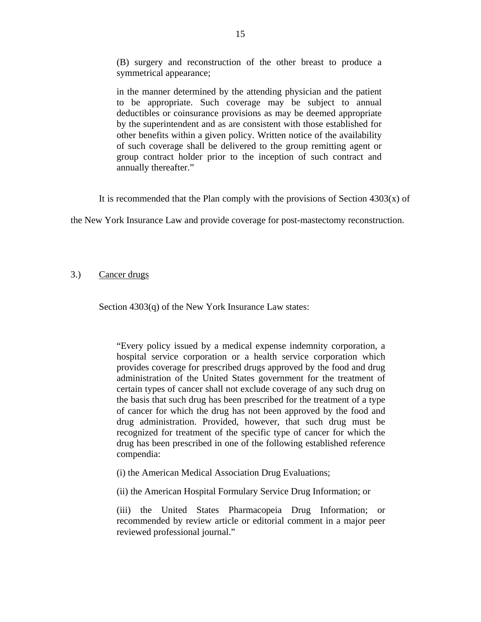(B) surgery and reconstruction of the other breast to produce a symmetrical appearance;

in the manner determined by the attending physician and the patient to be appropriate. Such coverage may be subject to annual deductibles or coinsurance provisions as may be deemed appropriate by the superintendent and as are consistent with those established for other benefits within a given policy. Written notice of the availability of such coverage shall be delivered to the group remitting agent or group contract holder prior to the inception of such contract and annually thereafter."

It is recommended that the Plan comply with the provisions of Section  $4303(x)$  of

the New York Insurance Law and provide coverage for post-mastectomy reconstruction.

#### 3.) Cancer drugs

Section 4303(q) of the New York Insurance Law states:

"Every policy issued by a medical expense indemnity corporation, a hospital service corporation or a health service corporation which provides coverage for prescribed drugs approved by the food and drug administration of the United States government for the treatment of certain types of cancer shall not exclude coverage of any such drug on the basis that such drug has been prescribed for the treatment of a type of cancer for which the drug has not been approved by the food and drug administration. Provided, however, that such drug must be recognized for treatment of the specific type of cancer for which the drug has been prescribed in one of the following established reference compendia:

(i) the American Medical Association Drug Evaluations;

(ii) the American Hospital Formulary Service Drug Information; or

(iii) the United States Pharmacopeia Drug Information; or recommended by review article or editorial comment in a major peer reviewed professional journal."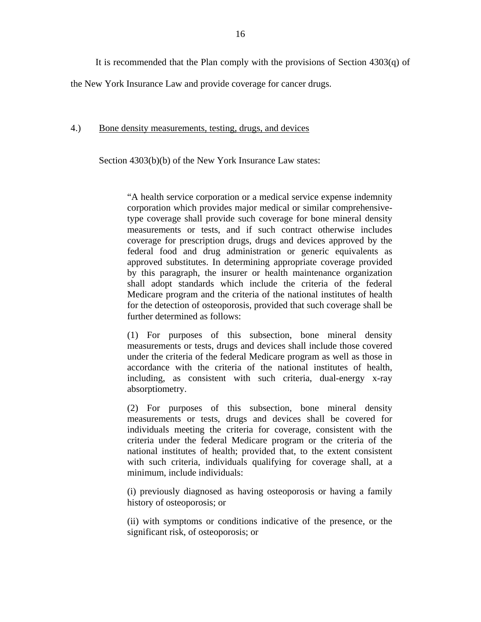It is recommended that the Plan comply with the provisions of Section 4303(q) of

the New York Insurance Law and provide coverage for cancer drugs.

#### 4.) Bone density measurements, testing, drugs, and devices

Section 4303(b)(b) of the New York Insurance Law states:

"A health service corporation or a medical service expense indemnity corporation which provides major medical or similar comprehensivetype coverage shall provide such coverage for bone mineral density measurements or tests, and if such contract otherwise includes coverage for prescription drugs, drugs and devices approved by the federal food and drug administration or generic equivalents as approved substitutes. In determining appropriate coverage provided by this paragraph, the insurer or health maintenance organization shall adopt standards which include the criteria of the federal Medicare program and the criteria of the national institutes of health for the detection of osteoporosis, provided that such coverage shall be further determined as follows:

(1) For purposes of this subsection, bone mineral density measurements or tests, drugs and devices shall include those covered under the criteria of the federal Medicare program as well as those in accordance with the criteria of the national institutes of health, including, as consistent with such criteria, dual-energy x-ray absorptiometry.

(2) For purposes of this subsection, bone mineral density measurements or tests, drugs and devices shall be covered for individuals meeting the criteria for coverage, consistent with the criteria under the federal Medicare program or the criteria of the national institutes of health; provided that, to the extent consistent with such criteria, individuals qualifying for coverage shall, at a minimum, include individuals:

(i) previously diagnosed as having osteoporosis or having a family history of osteoporosis; or

(ii) with symptoms or conditions indicative of the presence, or the significant risk, of osteoporosis; or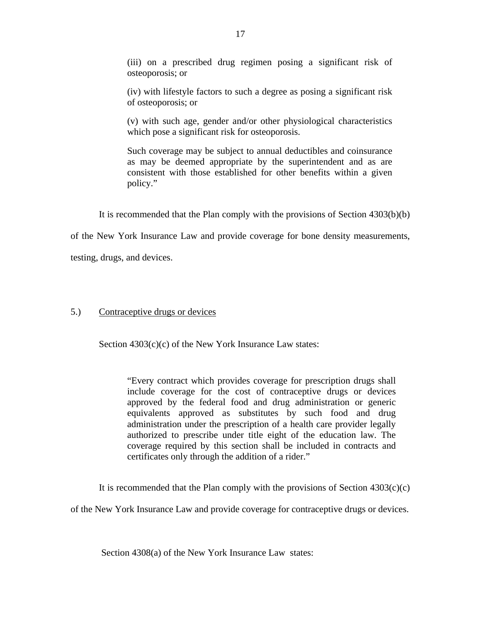(iii) on a prescribed drug regimen posing a significant risk of osteoporosis; or

(iv) with lifestyle factors to such a degree as posing a significant risk of osteoporosis; or

(v) with such age, gender and/or other physiological characteristics which pose a significant risk for osteoporosis.

Such coverage may be subject to annual deductibles and coinsurance as may be deemed appropriate by the superintendent and as are consistent with those established for other benefits within a given policy."

It is recommended that the Plan comply with the provisions of Section 4303(b)(b)

of the New York Insurance Law and provide coverage for bone density measurements,

testing, drugs, and devices.

#### 5.) Contraceptive drugs or devices

Section 4303(c)(c) of the New York Insurance Law states:

"Every contract which provides coverage for prescription drugs shall include coverage for the cost of contraceptive drugs or devices approved by the federal food and drug administration or generic equivalents approved as substitutes by such food and drug administration under the prescription of a health care provider legally authorized to prescribe under title eight of the education law. The coverage required by this section shall be included in contracts and certificates only through the addition of a rider."

It is recommended that the Plan comply with the provisions of Section  $4303(c)(c)$ 

of the New York Insurance Law and provide coverage for contraceptive drugs or devices.

Section 4308(a) of the New York Insurance Law states: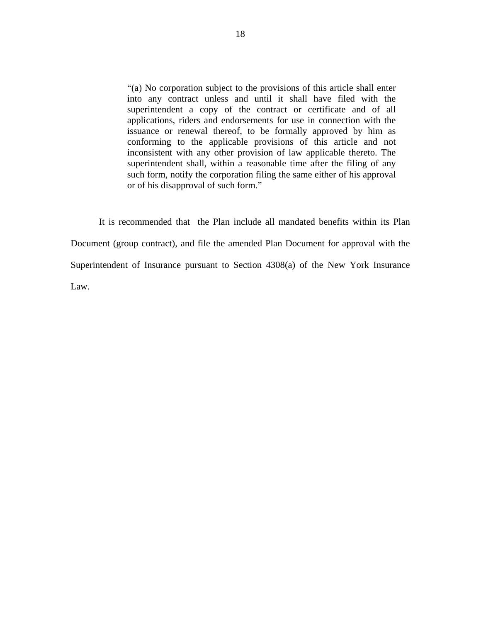"(a) No corporation subject to the provisions of this article shall enter into any contract unless and until it shall have filed with the superintendent a copy of the contract or certificate and of all applications, riders and endorsements for use in connection with the issuance or renewal thereof, to be formally approved by him as conforming to the applicable provisions of this article and not inconsistent with any other provision of law applicable thereto. The superintendent shall, within a reasonable time after the filing of any such form, notify the corporation filing the same either of his approval or of his disapproval of such form."

It is recommended that the Plan include all mandated benefits within its Plan Document (group contract), and file the amended Plan Document for approval with the Superintendent of Insurance pursuant to Section 4308(a) of the New York Insurance Law.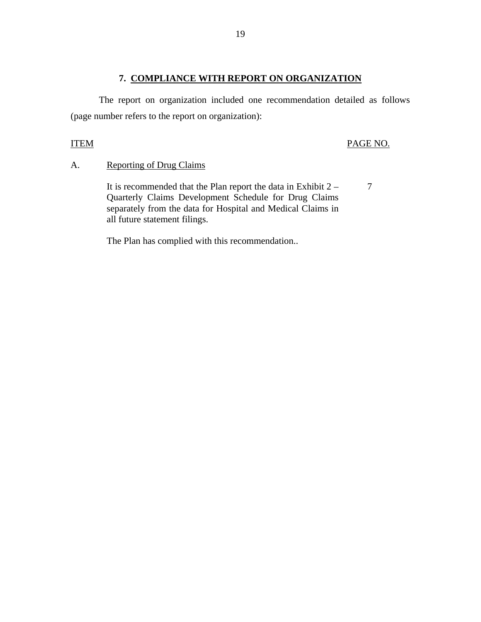### **7. COMPLIANCE WITH REPORT ON ORGANIZATION**

<span id="page-20-0"></span>The report on organization included one recommendation detailed as follows (page number refers to the report on organization):

#### **ITEM**

#### PAGE NO.

# A. Reporting of Drug Claims

It is recommended that the Plan report the data in Exhibit  $2 - 7$ Quarterly Claims Development Schedule for Drug Claims separately from the data for Hospital and Medical Claims in all future statement filings.

The Plan has complied with this recommendation..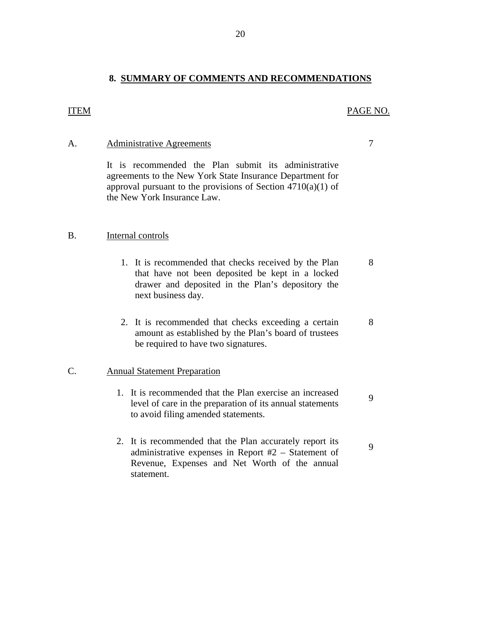#### **8. SUMMARY OF COMMENTS AND RECOMMENDATIONS**

#### <span id="page-21-0"></span>ITEM PAGE NO.

#### A. Administrative Agreements 7

It is recommended the Plan submit its administrative agreements to the New York State Insurance Department for approval pursuant to the provisions of Section  $4710(a)(1)$  of the New York Insurance Law.

#### B. Internal controls

- 1. It is recommended that checks received by the Plan 8 that have not been deposited be kept in a locked drawer and deposited in the Plan's depository the next business day.
- 2. It is recommended that checks exceeding a certain 8 amount as established by the Plan's board of trustees be required to have two signatures.

#### C. Annual Statement Preparation

- 1. It is recommended that the Plan exercise an increased level of care in the preparation of its annual statements to avoid filing amended statements.
- 2. It is recommended that the Plan accurately report its administrative expenses in Report #2 Statement of Revenue, Expenses and Net Worth of the annual statement.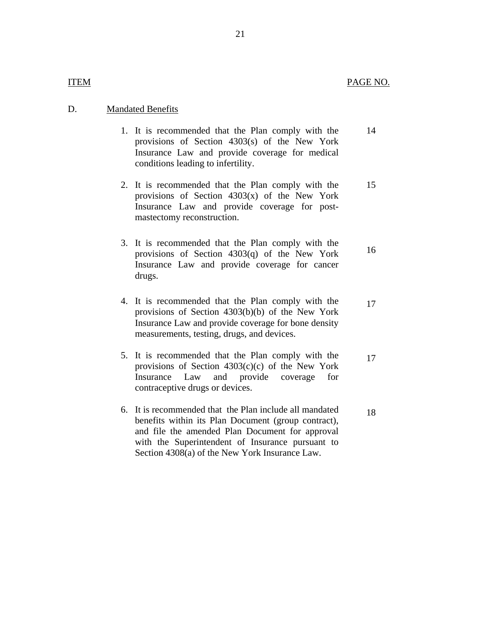#### D. Mandated Benefits

- 1. It is recommended that the Plan comply with the 14 provisions of Section 4303(s) of the New York Insurance Law and provide coverage for medical conditions leading to infertility.
- 2. It is recommended that the Plan comply with the 15 provisions of Section 4303(x) of the New York Insurance Law and provide coverage for postmastectomy reconstruction.
- 3. It is recommended that the Plan comply with the provisions of Section  $4303(q)$  of the New York 16 Insurance Law and provide coverage for cancer drugs.
- 4. It is recommended that the Plan comply with the 17 provisions of Section 4303(b)(b) of the New York Insurance Law and provide coverage for bone density measurements, testing, drugs, and devices.
- 5. It is recommended that the Plan comply with the  $17$ provisions of Section  $4303(c)(c)$  of the New York Insurance Law and provide coverage for contraceptive drugs or devices.
- 6. It is recommended that the Plan include all mandated  $18$ benefits within its Plan Document (group contract), and file the amended Plan Document for approval with the Superintendent of Insurance pursuant to Section 4308(a) of the New York Insurance Law.